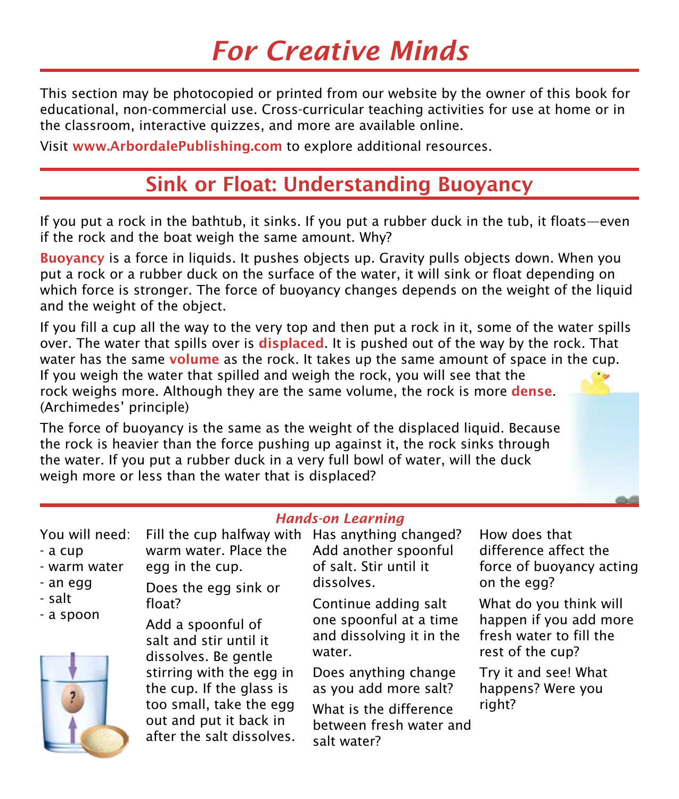# *For Creative Minds*

This section may be photocopied or printed from our website by the owner of this book for educational, non-commercial use. Cross-curricular teaching activities for use at home or in the classroom, interactive quizzes, and more are available online.

Visit www.ArbordalePublishing.com to explore additional resources.

#### Sink or Float: Understanding Buoyancy

If you put a rock in the bathtub, it sinks. If you put a rubber duck in the tub, it floats—even if the rock and the boat weigh the same amount. Why?

Buoyancy is a force in liquids. It pushes objects up. Gravity pulls objects down. When you put a rock or a rubber duck on the surface of the water, it will sink or float depending on which force is stronger. The force of buoyancy changes depends on the weight of the liquid and the weight of the object.

If you fill a cup all the way to the very top and then put a rock in it, some of the water spills over. The water that spills over is **displaced**. It is pushed out of the way by the rock. That water has the same **volume** as the rock. It takes up the same amount of space in the cup. If you weigh the water that spilled and weigh the rock, you will see that the rock weighs more. Although they are the same volume, the rock is more **dense**. (Archimedes' principle)

The force of buoyancy is the same as the weight of the displaced liquid. Because the rock is heavier than the force pushing up against it, the rock sinks through the water. If you put a rubber duck in a very full bowl of water, will the duck weigh more or less than the water that is displaced?

after the salt dissolves.

| <b>Hands-on Learning</b>                                                     |                                                                                                                     |                                                                                      |                                                                                                 |
|------------------------------------------------------------------------------|---------------------------------------------------------------------------------------------------------------------|--------------------------------------------------------------------------------------|-------------------------------------------------------------------------------------------------|
| You will need:<br>- a cup<br>- warm water<br>- an egg<br>- salt<br>- a spoon | Fill the cup halfway with Has anything changed?<br>warm water. Place the<br>egg in the cup.<br>Does the egg sink or | Add another spoonful<br>of salt. Stir until it<br>dissolves.                         | How does that<br>difference affect the<br>force of buoyancy acting<br>on the egg?               |
|                                                                              | float?<br>Add a spoonful of<br>salt and stir until it<br>dissolves. Be gentle                                       | Continue adding salt<br>one spoonful at a time<br>and dissolving it in the<br>water. | What do you think will<br>happen if you add more<br>fresh water to fill the<br>rest of the cup? |
|                                                                              | stirring with the egg in<br>the cup. If the glass is<br>too small, take the egg<br>out and put it back in           | Does anything change<br>as you add more salt?                                        | Try it and see! What<br>happens? Were you<br>right?                                             |
|                                                                              |                                                                                                                     | What is the difference<br>between fresh water and                                    |                                                                                                 |

salt water?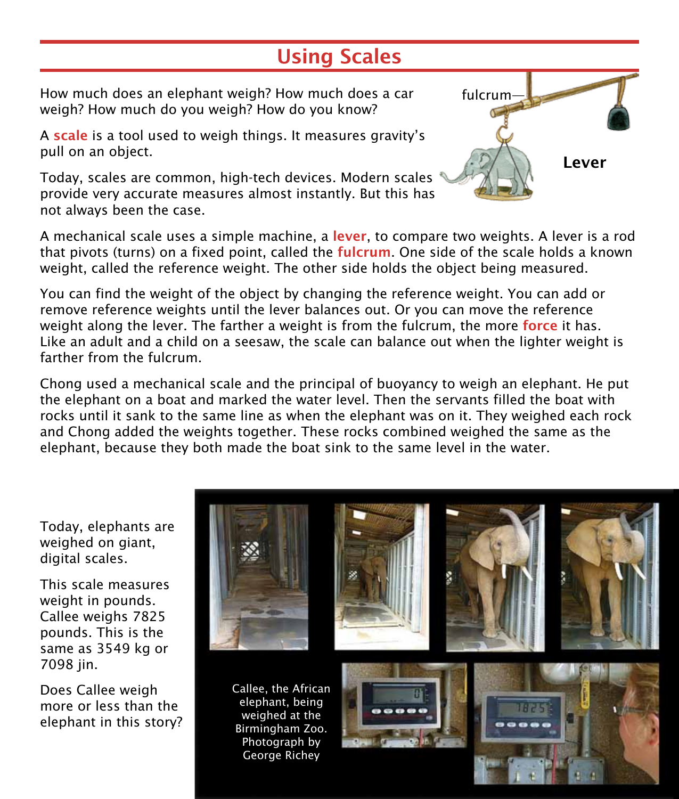## Using Scales

How much does an elephant weigh? How much does a car weigh? How much do you weigh? How do you know?

A scale is a tool used to weigh things. It measures gravity's pull on an object.

Today, scales are common, high-tech devices. Modern scales provide very accurate measures almost instantly. But this has not always been the case.

A mechanical scale uses a simple machine, a lever, to compare two weights. A lever is a rod that pivots (turns) on a fixed point, called the **fulcrum**. One side of the scale holds a known weight, called the reference weight. The other side holds the object being measured.

You can find the weight of the object by changing the reference weight. You can add or remove reference weights until the lever balances out. Or you can move the reference weight along the lever. The farther a weight is from the fulcrum, the more **force** it has. Like an adult and a child on a seesaw, the scale can balance out when the lighter weight is farther from the fulcrum.

Chong used a mechanical scale and the principal of buoyancy to weigh an elephant. He put the elephant on a boat and marked the water level. Then the servants filled the boat with rocks until it sank to the same line as when the elephant was on it. They weighed each rock and Chong added the weights together. These rocks combined weighed the same as the elephant, because they both made the boat sink to the same level in the water.

Today, elephants are weighed on giant, digital scales.

This scale measures weight in pounds. Callee weighs 7825 pounds. This is the same as 3549 kg or 7098 jin.

Does Callee weigh more or less than the elephant in this story?



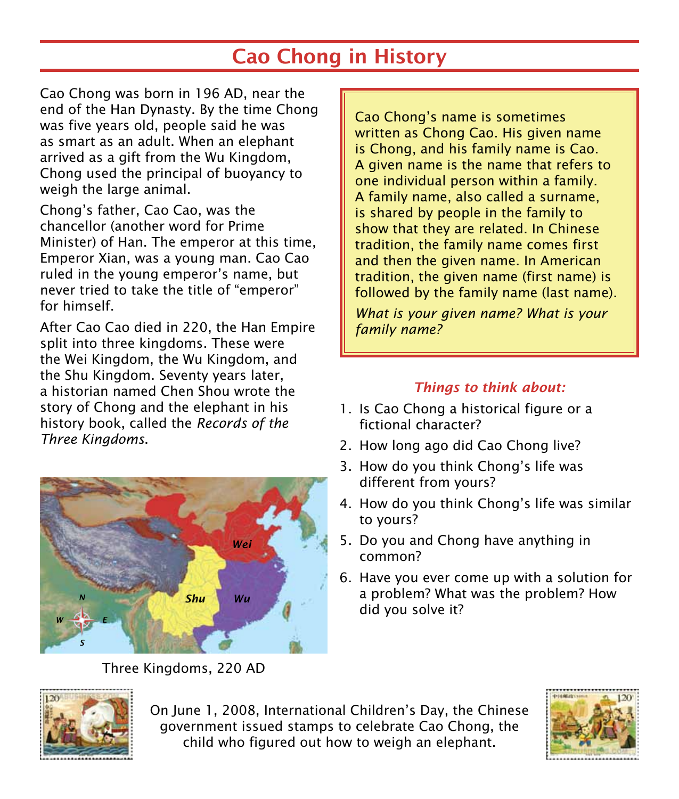## Cao Chong in History

Cao Chong was born in 196 AD, near the end of the Han Dynasty. By the time Chong was five years old, people said he was as smart as an adult. When an elephant arrived as a gift from the Wu Kingdom, Chong used the principal of buoyancy to weigh the large animal.

Chong's father, Cao Cao, was the chancellor (another word for Prime Minister) of Han. The emperor at this time, Emperor Xian, was a young man. Cao Cao ruled in the young emperor's name, but never tried to take the title of "emperor" for himself.

After Cao Cao died in 220, the Han Empire split into three kingdoms. These were the Wei Kingdom, the Wu Kingdom, and the Shu Kingdom. Seventy years later, a historian named Chen Shou wrote the story of Chong and the elephant in his history book, called the *Records of the Three Kingdoms*.



Three Kingdoms, 220 AD

Cao Chong's name is sometimes written as Chong Cao. His given name is Chong, and his family name is Cao. A given name is the name that refers to one individual person within a family. A family name, also called a surname, is shared by people in the family to show that they are related. In Chinese tradition, the family name comes first and then the given name. In American tradition, the given name (first name) is followed by the family name (last name).

*What is your given name? What is your family name?* 

#### *Things to think about:*

- 1. Is Cao Chong a historical figure or a fictional character?
- 2. How long ago did Cao Chong live?
- 3. How do you think Chong's life was different from yours?
- 4. How do you think Chong's life was similar to yours?
- 5. Do you and Chong have anything in common?
- 6. Have you ever come up with a solution for a problem? What was the problem? How did you solve it?



On June 1, 2008, International Children's Day, the Chinese government issued stamps to celebrate Cao Chong, the child who figured out how to weigh an elephant.